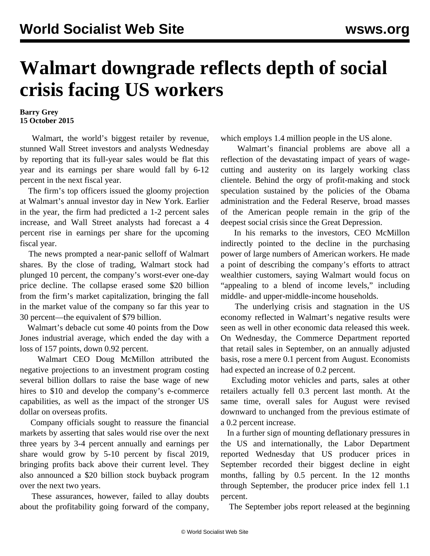## **Walmart downgrade reflects depth of social crisis facing US workers**

## **Barry Grey 15 October 2015**

 Walmart, the world's biggest retailer by revenue, stunned Wall Street investors and analysts Wednesday by reporting that its full-year sales would be flat this year and its earnings per share would fall by 6-12 percent in the next fiscal year.

 The firm's top officers issued the gloomy projection at Walmart's annual investor day in New York. Earlier in the year, the firm had predicted a 1-2 percent sales increase, and Wall Street analysts had forecast a 4 percent rise in earnings per share for the upcoming fiscal year.

 The news prompted a near-panic selloff of Walmart shares. By the close of trading, Walmart stock had plunged 10 percent, the company's worst-ever one-day price decline. The collapse erased some \$20 billion from the firm's market capitalization, bringing the fall in the market value of the company so far this year to 30 percent—the equivalent of \$79 billion.

 Walmart's debacle cut some 40 points from the Dow Jones industrial average, which ended the day with a loss of 157 points, down 0.92 percent.

 Walmart CEO Doug McMillon attributed the negative projections to an investment program costing several billion dollars to raise the base wage of new hires to \$10 and develop the company's e-commerce capabilities, as well as the impact of the stronger US dollar on overseas profits.

 Company officials sought to reassure the financial markets by asserting that sales would rise over the next three years by 3-4 percent annually and earnings per share would grow by 5-10 percent by fiscal 2019, bringing profits back above their current level. They also announced a \$20 billion stock buyback program over the next two years.

 These assurances, however, failed to allay doubts about the profitability going forward of the company, which employs 1.4 million people in the US alone.

 Walmart's financial problems are above all a reflection of the devastating impact of years of wagecutting and austerity on its largely working class clientele. Behind the orgy of profit-making and stock speculation sustained by the policies of the Obama administration and the Federal Reserve, broad masses of the American people remain in the grip of the deepest social crisis since the Great Depression.

 In his remarks to the investors, CEO McMillon indirectly pointed to the decline in the purchasing power of large numbers of American workers. He made a point of describing the company's efforts to attract wealthier customers, saying Walmart would focus on "appealing to a blend of income levels," including middle- and upper-middle-income households.

 The underlying crisis and stagnation in the US economy reflected in Walmart's negative results were seen as well in other economic data released this week. On Wednesday, the Commerce Department reported that retail sales in September, on an annually adjusted basis, rose a mere 0.1 percent from August. Economists had expected an increase of 0.2 percent.

 Excluding motor vehicles and parts, sales at other retailers actually fell 0.3 percent last month. At the same time, overall sales for August were revised downward to unchanged from the previous estimate of a 0.2 percent increase.

 In a further sign of mounting deflationary pressures in the US and internationally, the Labor Department reported Wednesday that US producer prices in September recorded their biggest decline in eight months, falling by 0.5 percent. In the 12 months through September, the producer price index fell 1.1 percent.

The September jobs report released at the beginning